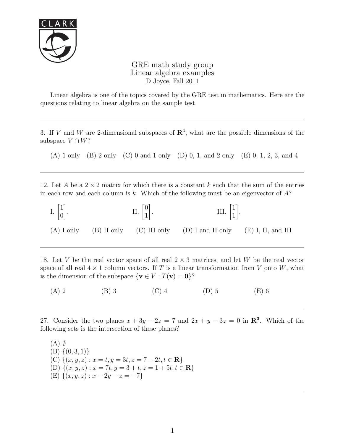

GRE math study group Linear algebra examples D Joyce, Fall 2011

Linear algebra is one of the topics covered by the GRE test in mathematics. Here are the questions relating to linear algebra on the sample test.

3. If V and W are 2-dimensional subspaces of  $\mathbb{R}^4$ , what are the possible dimensions of the subspace  $V \cap W$ ?

(A) 1 only (B) 2 only (C) 0 and 1 only (D) 0, 1, and 2 only (E) 0, 1, 2, 3, and 4

12. Let A be a  $2 \times 2$  matrix for which there is a constant k such that the sum of the entries in each row and each column is k. Which of the following must be an eigenvector of  $A$ ?



18. Let V be the real vector space of all real  $2 \times 3$  matrices, and let W be the real vector space of all real  $4 \times 1$  column vectors. If T is a linear transformation from V <u>onto</u> W, what is the dimension of the subspace  $\{v \in V : T(v) = 0\}$ ?

(A) 2 (B) 3 (C) 4 (D) 5 (E) 6

27. Consider the two planes  $x + 3y - 2z = 7$  and  $2x + y - 3z = 0$  in  $\mathbb{R}^3$ . Which of the following sets is the intersection of these planes?

 $(A)$   $\emptyset$  $(B) \{(0,3,1)\}\$ (C)  $\{(x, y, z) : x = t, y = 3t, z = 7 - 2t, t \in \mathbb{R}\}\$ (D)  $\{(x, y, z) : x = 7t, y = 3 + t, z = 1 + 5t, t \in \mathbb{R}\}\$ (E)  $\{(x, y, z) : x - 2y - z = -7\}$